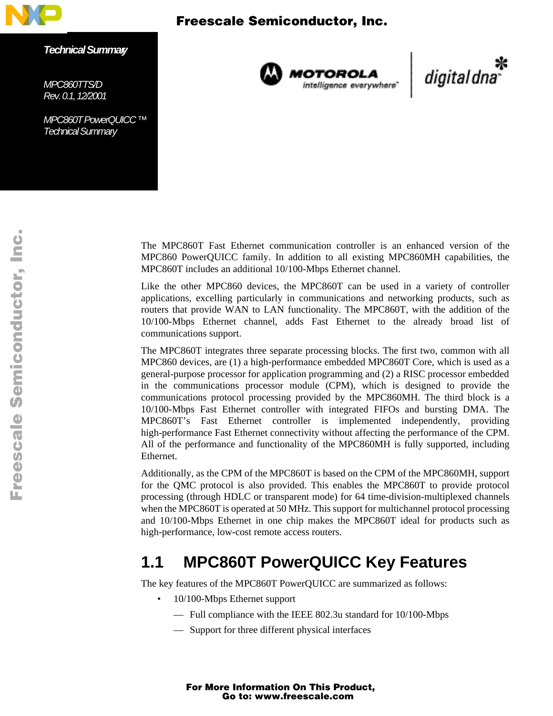

*Technical Summary*

*MPC860TTS/D Rev. 0.1, 12/2001*

*MPC860T PowerQUICC ™ Technical Summary* 



**MOTOROLA**<br>intelligence everywhere<sup>-</sup>

\*<br>\*digital dna

The MPC860T Fast Ethernet communication controller is an enhanced version of the MPC860 PowerQUICC family. In addition to all existing MPC860MH capabilities, the MPC860T includes an additional 10/100-Mbps Ethernet channel.

Like the other MPC860 devices, the MPC860T can be used in a variety of controller applications, excelling particularly in communications and networking products, such as routers that provide WAN to LAN functionality. The MPC860T, with the addition of the 10/100-Mbps Ethernet channel, adds Fast Ethernet to the already broad list of communications support.

The MPC860T integrates three separate processing blocks. The first two, common with all MPC860 devices, are (1) a high-performance embedded MPC860T Core, which is used as a general-purpose processor for application programming and (2) a RISC processor embedded in the communications processor module (CPM), which is designed to provide the communications protocol processing provided by the MPC860MH. The third block is a 10/100-Mbps Fast Ethernet controller with integrated FIFOs and bursting DMA. The MPC860T's Fast Ethernet controller is implemented independently, providing high-performance Fast Ethernet connectivity without affecting the performance of the CPM. All of the performance and functionality of the MPC860MH is fully supported, including Ethernet.

Additionally, as the CPM of the MPC860T is based on the CPM of the MPC860MH, support for the QMC protocol is also provided. This enables the MPC860T to provide protocol processing (through HDLC or transparent mode) for 64 time-division-multiplexed channels when the MPC860T is operated at 50 MHz. This support for multichannel protocol processing and 10/100-Mbps Ethernet in one chip makes the MPC860T ideal for products such as high-performance, low-cost remote access routers.

# **1.1 MPC860T PowerQUICC Key Features**

The key features of the MPC860T PowerQUICC are summarized as follows:

- 10/100-Mbps Ethernet support
	- Full compliance with the IEEE 802.3u standard for 10/100-Mbps
	- Support for three different physical interfaces

u  $\mathbf 0$ t o

r, I

n

.<br>ق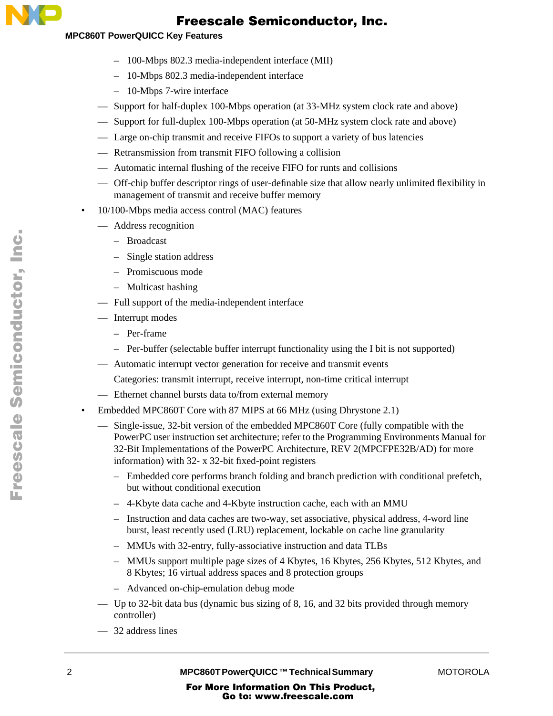

#### **MPC860T PowerQUICC Key Features**

- 100-Mbps 802.3 media-independent interface (MII)
- 10-Mbps 802.3 media-independent interface
- 10-Mbps 7-wire interface
- Support for half-duplex 100-Mbps operation (at 33-MHz system clock rate and above)
- Support for full-duplex 100-Mbps operation (at 50-MHz system clock rate and above)
- Large on-chip transmit and receive FIFOs to support a variety of bus latencies
- Retransmission from transmit FIFO following a collision
- Automatic internal flushing of the receive FIFO for runts and collisions
- Off-chip buffer descriptor rings of user-definable size that allow nearly unlimited flexibility in management of transmit and receive buffer memory
- 10/100-Mbps media access control (MAC) features
	- Address recognition
		- Broadcast
		- Single station address
		- Promiscuous mode
		- Multicast hashing
	- Full support of the media-independent interface
	- Interrupt modes
		- Per-frame
		- Per-buffer (selectable buffer interrupt functionality using the I bit is not supported)
	- Automatic interrupt vector generation for receive and transmit events

Categories: transmit interrupt, receive interrupt, non-time critical interrupt

- Ethernet channel bursts data to/from external memory
- Embedded MPC860T Core with 87 MIPS at 66 MHz (using Dhrystone 2.1)
	- Single-issue, 32-bit version of the embedded MPC860T Core (fully compatible with the PowerPC user instruction set architecture; refer to the Programming Environments Manual for 32-Bit Implementations of the PowerPC Architecture, REV 2(MPCFPE32B/AD) for more information) with 32- x 32-bit fixed-point registers
		- Embedded core performs branch folding and branch prediction with conditional prefetch, but without conditional execution
		- 4-Kbyte data cache and 4-Kbyte instruction cache, each with an MMU
		- Instruction and data caches are two-way, set associative, physical address, 4-word line burst, least recently used (LRU) replacement, lockable on cache line granularity
		- MMUs with 32-entry, fully-associative instruction and data TLBs
		- MMUs support multiple page sizes of 4 Kbytes, 16 Kbytes, 256 Kbytes, 512 Kbytes, and 8 Kbytes; 16 virtual address spaces and 8 protection groups
		- Advanced on-chip-emulation debug mode
	- Up to 32-bit data bus (dynamic bus sizing of 8, 16, and 32 bits provided through memory controller)
	- 32 address lines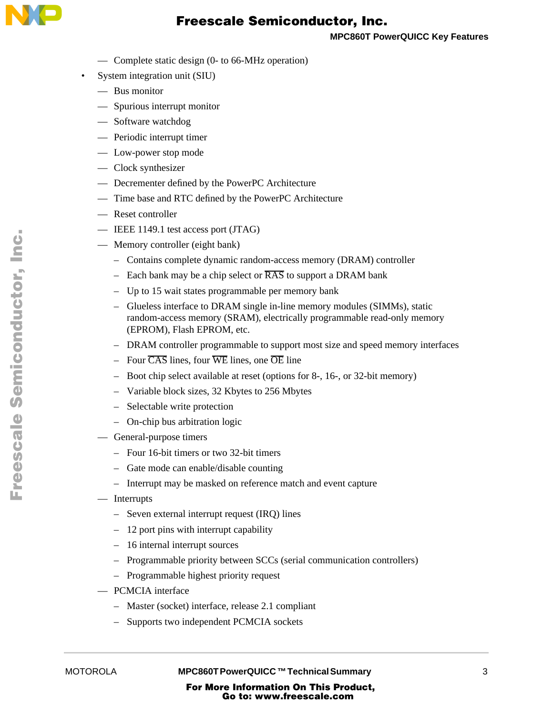

**MPC860T PowerQUICC Key Features**

- Complete static design (0- to 66-MHz operation)
- System integration unit (SIU)
	- Bus monitor
	- Spurious interrupt monitor
	- Software watchdog
	- Periodic interrupt timer
	- Low-power stop mode
	- Clock synthesizer
	- Decrementer defined by the PowerPC Architecture
	- Time base and RTC defined by the PowerPC Architecture
	- Reset controller
	- IEEE 1149.1 test access port (JTAG)
	- Memory controller (eight bank)
		- Contains complete dynamic random-access memory (DRAM) controller
		- Each bank may be a chip select or  $\overline{RAS}$  to support a DRAM bank
		- Up to 15 wait states programmable per memory bank
		- Glueless interface to DRAM single in-line memory modules (SIMMs), static random-access memory (SRAM), electrically programmable read-only memory (EPROM), Flash EPROM, etc.
		- DRAM controller programmable to support most size and speed memory interfaces
		- Four  $\overline{CAS}$  lines, four  $\overline{WE}$  lines, one  $\overline{OE}$  line
		- Boot chip select available at reset (options for 8-, 16-, or 32-bit memory)
		- Variable block sizes, 32 Kbytes to 256 Mbytes
		- Selectable write protection
		- On-chip bus arbitration logic
	- General-purpose timers
		- Four 16-bit timers or two 32-bit timers
		- Gate mode can enable/disable counting
		- Interrupt may be masked on reference match and event capture
	- Interrupts
		- Seven external interrupt request (IRQ) lines
		- 12 port pins with interrupt capability
		- 16 internal interrupt sources
		- Programmable priority between SCCs (serial communication controllers)
		- Programmable highest priority request
	- PCMCIA interface
		- Master (socket) interface, release 2.1 compliant
		- Supports two independent PCMCIA sockets

MOTOROLA **MPC860T PowerQUICC ™ Technical Summary** 3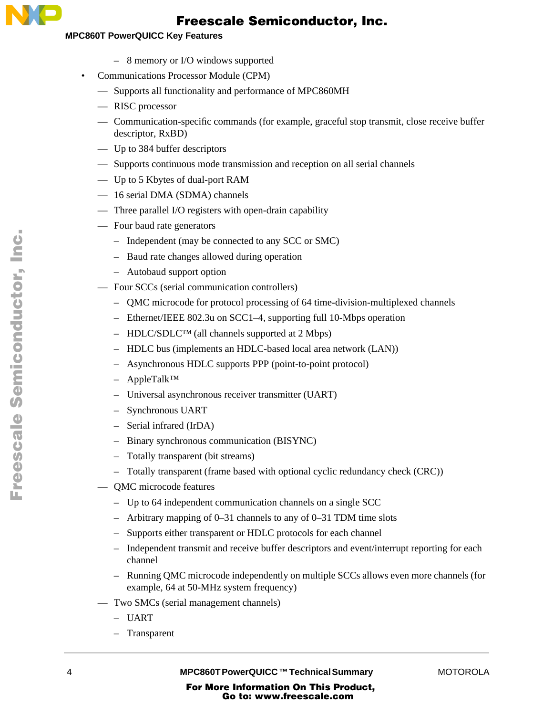

#### **MPC860T PowerQUICC Key Features**

- 8 memory or I/O windows supported
- Communications Processor Module (CPM)
	- Supports all functionality and performance of MPC860MH
	- RISC processor
	- Communication-specific commands (for example, graceful stop transmit, close receive buffer descriptor, RxBD)
	- Up to 384 buffer descriptors
	- Supports continuous mode transmission and reception on all serial channels
	- Up to 5 Kbytes of dual-port RAM
	- 16 serial DMA (SDMA) channels
	- Three parallel I/O registers with open-drain capability
	- Four baud rate generators
		- Independent (may be connected to any SCC or SMC)
		- Baud rate changes allowed during operation
		- Autobaud support option
	- Four SCCs (serial communication controllers)
		- QMC microcode for protocol processing of 64 time-division-multiplexed channels
		- Ethernet/IEEE 802.3u on SCC1–4, supporting full 10-Mbps operation
		- HDLC/SDLC™ (all channels supported at 2 Mbps)
		- HDLC bus (implements an HDLC-based local area network (LAN))
		- Asynchronous HDLC supports PPP (point-to-point protocol)
		- AppleTalk™
		- Universal asynchronous receiver transmitter (UART)
		- Synchronous UART
		- Serial infrared (IrDA)
		- Binary synchronous communication (BISYNC)
		- Totally transparent (bit streams)
		- Totally transparent (frame based with optional cyclic redundancy check (CRC))
	- QMC microcode features
		- Up to 64 independent communication channels on a single SCC
		- Arbitrary mapping of 0–31 channels to any of 0–31 TDM time slots
		- Supports either transparent or HDLC protocols for each channel
		- Independent transmit and receive buffer descriptors and event/interrupt reporting for each channel
		- Running QMC microcode independently on multiple SCCs allows even more channels (for example, 64 at 50-MHz system frequency)
	- Two SMCs (serial management channels)
		- UART
		- Transparent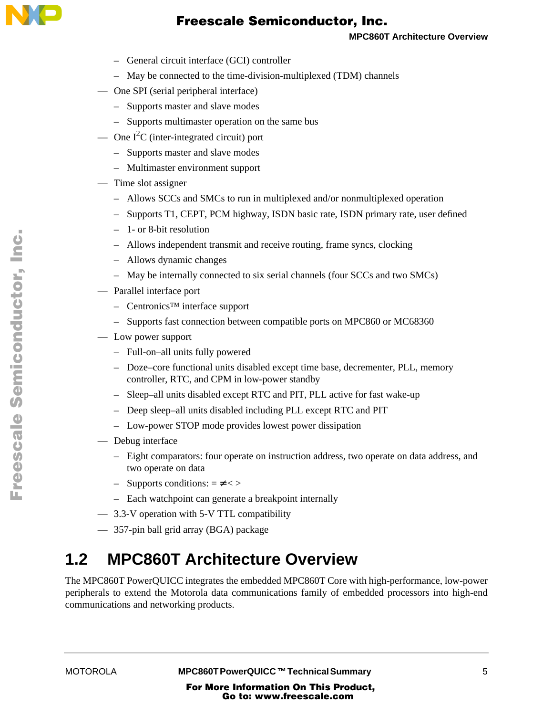

- General circuit interface (GCI) controller
- May be connected to the time-division-multiplexed (TDM) channels
- One SPI (serial peripheral interface)
	- Supports master and slave modes
	- Supports multimaster operation on the same bus
- One  $I^2C$  (inter-integrated circuit) port
	- Supports master and slave modes
	- Multimaster environment support
- Time slot assigner
	- Allows SCCs and SMCs to run in multiplexed and/or nonmultiplexed operation
	- Supports T1, CEPT, PCM highway, ISDN basic rate, ISDN primary rate, user defined
	- 1- or 8-bit resolution
	- Allows independent transmit and receive routing, frame syncs, clocking
	- Allows dynamic changes
	- May be internally connected to six serial channels (four SCCs and two SMCs)
- Parallel interface port
	- Centronics™ interface support
	- Supports fast connection between compatible ports on MPC860 or MC68360
- Low power support
	- Full-on–all units fully powered
	- Doze–core functional units disabled except time base, decrementer, PLL, memory controller, RTC, and CPM in low-power standby
	- Sleep–all units disabled except RTC and PIT, PLL active for fast wake-up
	- Deep sleep–all units disabled including PLL except RTC and PIT
	- Low-power STOP mode provides lowest power dissipation
- Debug interface
	- Eight comparators: four operate on instruction address, two operate on data address, and two operate on data
	- $-$  Supports conditions:  $=$  <>
	- Each watchpoint can generate a breakpoint internally
- 3.3-V operation with 5-V TTL compatibility
- 357-pin ball grid array (BGA) package

# **1.2 MPC860T Architecture Overview**

The MPC860T PowerQUICC integrates the embedded MPC860T Core with high-performance, low-power peripherals to extend the Motorola data communications family of embedded processors into high-end communications and networking products.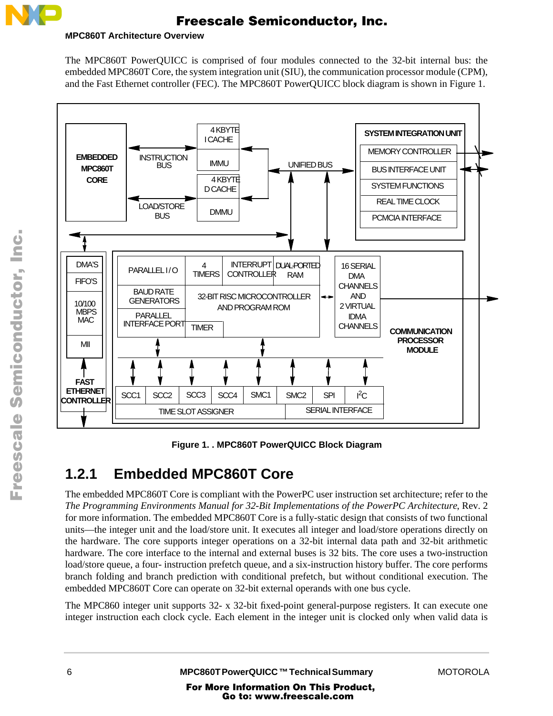

#### **MPC860T Architecture Overview**

The MPC860T PowerQUICC is comprised of four modules connected to the 32-bit internal bus: the embedded MPC860T Core, the system integration unit (SIU), the communication processor module (CPM), and the Fast Ethernet controller (FEC). The MPC860T PowerQUICC block diagram is shown in Figure 1.



**Figure 1. . MPC860T PowerQUICC Block Diagram** 

# **1.2.1 Embedded MPC860T Core**

The embedded MPC860T Core is compliant with the PowerPC user instruction set architecture; refer to the *The Programming Environments Manual for 32-Bit Implementations of the PowerPC Architecture*, Rev. 2 for more information. The embedded MPC860T Core is a fully-static design that consists of two functional units—the integer unit and the load/store unit. It executes all integer and load/store operations directly on the hardware. The core supports integer operations on a 32-bit internal data path and 32-bit arithmetic hardware. The core interface to the internal and external buses is 32 bits. The core uses a two-instruction load/store queue, a four- instruction prefetch queue, and a six-instruction history buffer. The core performs branch folding and branch prediction with conditional prefetch, but without conditional execution. The embedded MPC860T Core can operate on 32-bit external operands with one bus cycle.

The MPC860 integer unit supports 32- x 32-bit fixed-point general-purpose registers. It can execute one integer instruction each clock cycle. Each element in the integer unit is clocked only when valid data is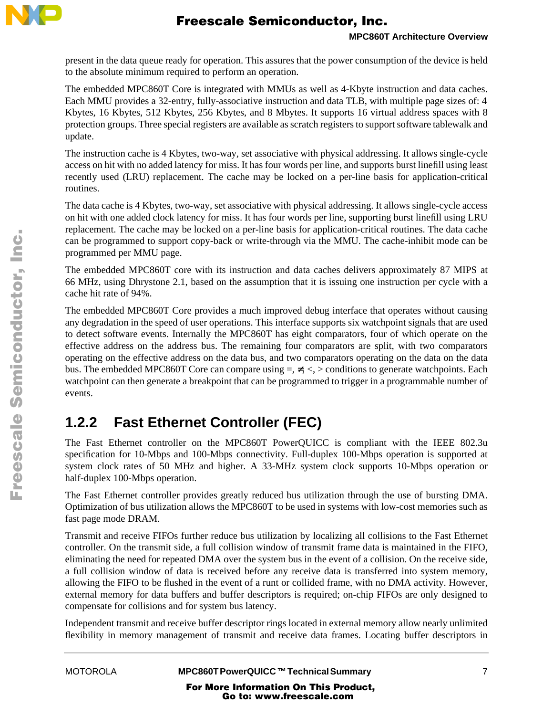

present in the data queue ready for operation. This assures that the power consumption of the device is held to the absolute minimum required to perform an operation.

The embedded MPC860T Core is integrated with MMUs as well as 4-Kbyte instruction and data caches. Each MMU provides a 32-entry, fully-associative instruction and data TLB, with multiple page sizes of: 4 Kbytes, 16 Kbytes, 512 Kbytes, 256 Kbytes, and 8 Mbytes. It supports 16 virtual address spaces with 8 protection groups. Three special registers are available as scratch registers to support software tablewalk and update.

The instruction cache is 4 Kbytes, two-way, set associative with physical addressing. It allows single-cycle access on hit with no added latency for miss. It has four words per line, and supports burst linefill using least recently used (LRU) replacement. The cache may be locked on a per-line basis for application-critical routines.

The data cache is 4 Kbytes, two-way, set associative with physical addressing. It allows single-cycle access on hit with one added clock latency for miss. It has four words per line, supporting burst linefill using LRU replacement. The cache may be locked on a per-line basis for application-critical routines. The data cache can be programmed to support copy-back or write-through via the MMU. The cache-inhibit mode can be programmed per MMU page.

The embedded MPC860T core with its instruction and data caches delivers approximately 87 MIPS at 66 MHz, using Dhrystone 2.1, based on the assumption that it is issuing one instruction per cycle with a cache hit rate of 94%.

The embedded MPC860T Core provides a much improved debug interface that operates without causing any degradation in the speed of user operations. This interface supports six watchpoint signals that are used to detect software events. Internally the MPC860T has eight comparators, four of which operate on the effective address on the address bus. The remaining four comparators are split, with two comparators operating on the effective address on the data bus, and two comparators operating on the data on the data bus. The embedded MPC860T Core can compare using  $=$ ,  $\le$   $\le$  > conditions to generate watchpoints. Each watchpoint can then generate a breakpoint that can be programmed to trigger in a programmable number of events.

# **1.2.2 Fast Ethernet Controller (FEC)**

The Fast Ethernet controller on the MPC860T PowerQUICC is compliant with the IEEE 802.3u specification for 10-Mbps and 100-Mbps connectivity. Full-duplex 100-Mbps operation is supported at system clock rates of 50 MHz and higher. A 33-MHz system clock supports 10-Mbps operation or half-duplex 100-Mbps operation.

The Fast Ethernet controller provides greatly reduced bus utilization through the use of bursting DMA. Optimization of bus utilization allows the MPC860T to be used in systems with low-cost memories such as fast page mode DRAM.

Transmit and receive FIFOs further reduce bus utilization by localizing all collisions to the Fast Ethernet controller. On the transmit side, a full collision window of transmit frame data is maintained in the FIFO, eliminating the need for repeated DMA over the system bus in the event of a collision. On the receive side, a full collision window of data is received before any receive data is transferred into system memory, allowing the FIFO to be flushed in the event of a runt or collided frame, with no DMA activity. However, external memory for data buffers and buffer descriptors is required; on-chip FIFOs are only designed to compensate for collisions and for system bus latency.

Independent transmit and receive buffer descriptor rings located in external memory allow nearly unlimited flexibility in memory management of transmit and receive data frames. Locating buffer descriptors in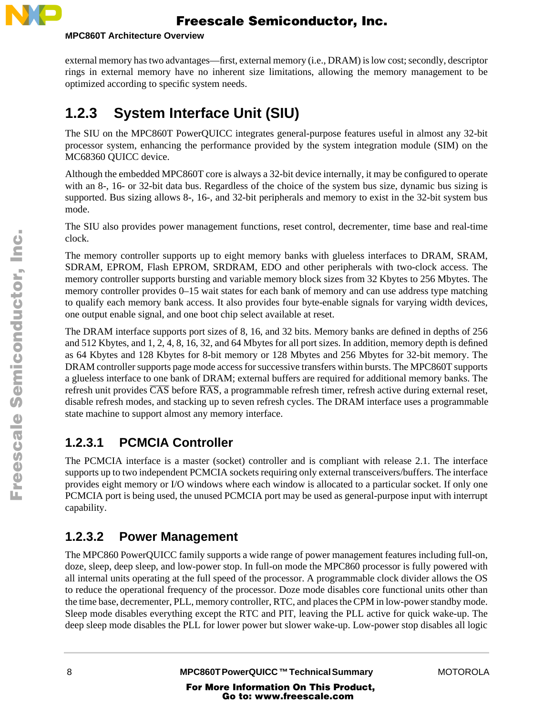

#### **MPC860T Architecture Overview**

external memory has two advantages—first, external memory (i.e., DRAM) is low cost; secondly, descriptor rings in external memory have no inherent size limitations, allowing the memory management to be optimized according to specific system needs.

# **1.2.3 System Interface Unit (SIU)**

The SIU on the MPC860T PowerQUICC integrates general-purpose features useful in almost any 32-bit processor system, enhancing the performance provided by the system integration module (SIM) on the MC68360 QUICC device.

Although the embedded MPC860T core is always a 32-bit device internally, it may be configured to operate with an 8-, 16- or 32-bit data bus. Regardless of the choice of the system bus size, dynamic bus sizing is supported. Bus sizing allows 8-, 16-, and 32-bit peripherals and memory to exist in the 32-bit system bus mode.

The SIU also provides power management functions, reset control, decrementer, time base and real-time clock.

The memory controller supports up to eight memory banks with glueless interfaces to DRAM, SRAM, SDRAM, EPROM, Flash EPROM, SRDRAM, EDO and other peripherals with two-clock access. The memory controller supports bursting and variable memory block sizes from 32 Kbytes to 256 Mbytes. The memory controller provides 0–15 wait states for each bank of memory and can use address type matching to qualify each memory bank access. It also provides four byte-enable signals for varying width devices, one output enable signal, and one boot chip select available at reset.

The DRAM interface supports port sizes of 8, 16, and 32 bits. Memory banks are defined in depths of 256 and 512 Kbytes, and 1, 2, 4, 8, 16, 32, and 64 Mbytes for all port sizes. In addition, memory depth is defined as 64 Kbytes and 128 Kbytes for 8-bit memory or 128 Mbytes and 256 Mbytes for 32-bit memory. The DRAM controller supports page mode access for successive transfers within bursts. The MPC860T supports a glueless interface to one bank of DRAM; external buffers are required for additional memory banks. The refresh unit provides  $\overline{CAS}$  before  $\overline{RAS}$ , a programmable refresh timer, refresh active during external reset, disable refresh modes, and stacking up to seven refresh cycles. The DRAM interface uses a programmable state machine to support almost any memory interface.

#### **1.2.3.1 PCMCIA Controller**

The PCMCIA interface is a master (socket) controller and is compliant with release 2.1. The interface supports up to two independent PCMCIA sockets requiring only external transceivers/buffers. The interface provides eight memory or I/O windows where each window is allocated to a particular socket. If only one PCMCIA port is being used, the unused PCMCIA port may be used as general-purpose input with interrupt capability.

#### **1.2.3.2 Power Management**

The MPC860 PowerQUICC family supports a wide range of power management features including full-on, doze, sleep, deep sleep, and low-power stop. In full-on mode the MPC860 processor is fully powered with all internal units operating at the full speed of the processor. A programmable clock divider allows the OS to reduce the operational frequency of the processor. Doze mode disables core functional units other than the time base, decrementer, PLL, memory controller, RTC, and places the CPM in low-power standby mode. Sleep mode disables everything except the RTC and PIT, leaving the PLL active for quick wake-up. The deep sleep mode disables the PLL for lower power but slower wake-up. Low-power stop disables all logic

t o

r, I

n

.<br>ق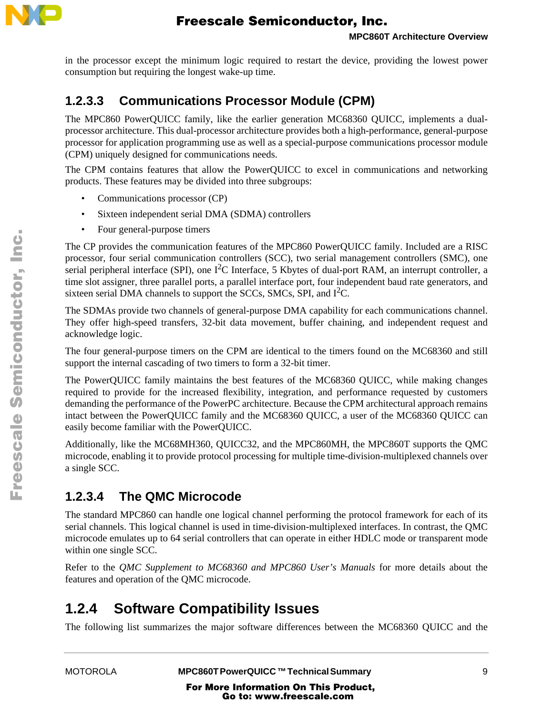

in the processor except the minimum logic required to restart the device, providing the lowest power consumption but requiring the longest wake-up time.

#### **1.2.3.3 Communications Processor Module (CPM)**

The MPC860 PowerQUICC family, like the earlier generation MC68360 QUICC, implements a dualprocessor architecture. This dual-processor architecture provides both a high-performance, general-purpose processor for application programming use as well as a special-purpose communications processor module (CPM) uniquely designed for communications needs.

The CPM contains features that allow the PowerQUICC to excel in communications and networking products. These features may be divided into three subgroups:

- Communications processor (CP)
- Sixteen independent serial DMA (SDMA) controllers
- Four general-purpose timers

The CP provides the communication features of the MPC860 PowerQUICC family. Included are a RISC processor, four serial communication controllers (SCC), two serial management controllers (SMC), one serial peripheral interface (SPI), one  $I^2C$  Interface, 5 Kbytes of dual-port RAM, an interrupt controller, a time slot assigner, three parallel ports, a parallel interface port, four independent baud rate generators, and sixteen serial DMA channels to support the SCCs, SMCs, SPI, and I<sup>2</sup>C.

The SDMAs provide two channels of general-purpose DMA capability for each communications channel. They offer high-speed transfers, 32-bit data movement, buffer chaining, and independent request and acknowledge logic.

The four general-purpose timers on the CPM are identical to the timers found on the MC68360 and still support the internal cascading of two timers to form a 32-bit timer.

The PowerQUICC family maintains the best features of the MC68360 QUICC, while making changes required to provide for the increased flexibility, integration, and performance requested by customers demanding the performance of the PowerPC architecture. Because the CPM architectural approach remains intact between the PowerQUICC family and the MC68360 QUICC, a user of the MC68360 QUICC can easily become familiar with the PowerQUICC.

Additionally, like the MC68MH360, QUICC32, and the MPC860MH, the MPC860T supports the QMC microcode, enabling it to provide protocol processing for multiple time-division-multiplexed channels over a single SCC.

#### **1.2.3.4 The QMC Microcode**

The standard MPC860 can handle one logical channel performing the protocol framework for each of its serial channels. This logical channel is used in time-division-multiplexed interfaces. In contrast, the QMC microcode emulates up to 64 serial controllers that can operate in either HDLC mode or transparent mode within one single SCC.

Refer to the *QMC Supplement to MC68360 and MPC860 User's Manuals* for more details about the features and operation of the QMC microcode.

# **1.2.4 Software Compatibility Issues**

The following list summarizes the major software differences between the MC68360 QUICC and the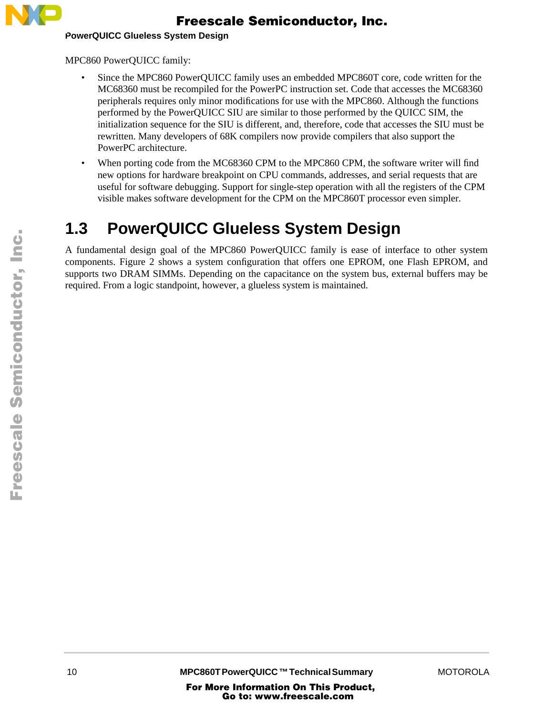

**PowerQUICC Glueless System Design** 

MPC860 PowerQUICC family:

- Since the MPC860 PowerQUICC family uses an embedded MPC860T core, code written for the MC68360 must be recompiled for the PowerPC instruction set. Code that accesses the MC68360 peripherals requires only minor modifications for use with the MPC860. Although the functions performed by the PowerQUICC SIU are similar to those performed by the QUICC SIM, the initialization sequence for the SIU is different, and, therefore, code that accesses the SIU must be rewritten. Many developers of 68K compilers now provide compilers that also support the PowerPC architecture.
- When porting code from the MC68360 CPM to the MPC860 CPM, the software writer will find new options for hardware breakpoint on CPU commands, addresses, and serial requests that are useful for software debugging. Support for single-step operation with all the registers of the CPM visible makes software development for the CPM on the MPC860T processor even simpler.

# **1.3 PowerQUICC Glueless System Design**

A fundamental design goal of the MPC860 PowerQUICC family is ease of interface to other system components. Figure 2 shows a system configuration that offers one EPROM, one Flash EPROM, and supports two DRAM SIMMs. Depending on the capacitance on the system bus, external buffers may be required. From a logic standpoint, however, a glueless system is maintained.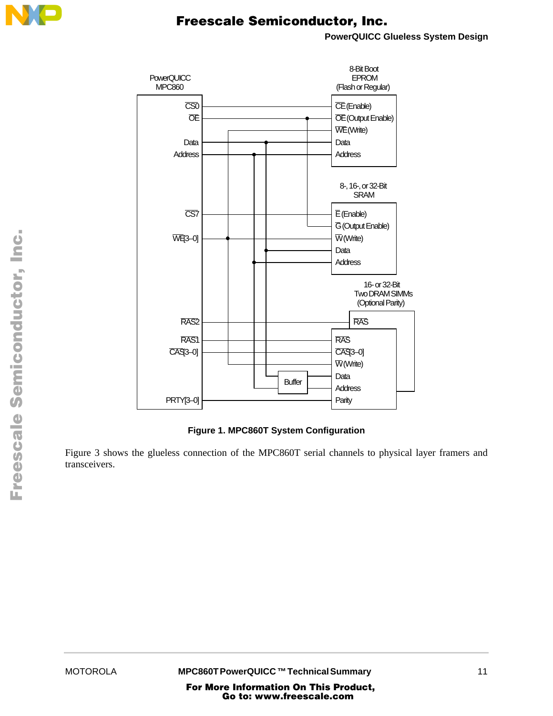

**PowerQUICC Glueless System Design**



#### **Figure 1. MPC860T System Configuration**

Figure 3 shows the glueless connection of the MPC860T serial channels to physical layer framers and transceivers.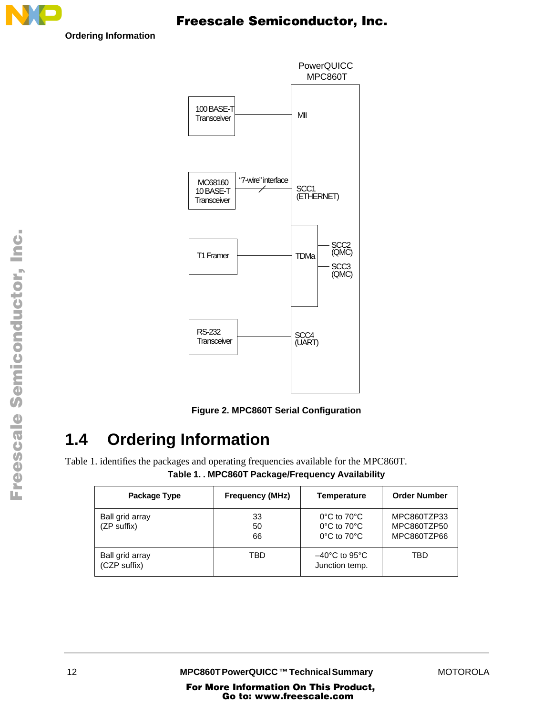

**Ordering Information** 





# **1.4 Ordering Information**

Table 1. identifies the packages and operating frequencies available for the MPC860T.

**Table 1. . MPC860T Package/Frequency Availability**

| Package Type                    | <b>Frequency (MHz)</b> | <b>Temperature</b>                                                                                    | <b>Order Number</b>                       |
|---------------------------------|------------------------|-------------------------------------------------------------------------------------------------------|-------------------------------------------|
| Ball grid array<br>(ZP suffix)  | 33<br>50<br>66         | $0^{\circ}$ C to $70^{\circ}$ C<br>$0^{\circ}$ C to $70^{\circ}$ C<br>$0^{\circ}$ C to $70^{\circ}$ C | MPC860TZP33<br>MPC860TZP50<br>MPC860TZP66 |
| Ball grid array<br>(CZP suffix) | TBD                    | $-40^{\circ}$ C to 95 $^{\circ}$ C<br>Junction temp.                                                  | TBD                                       |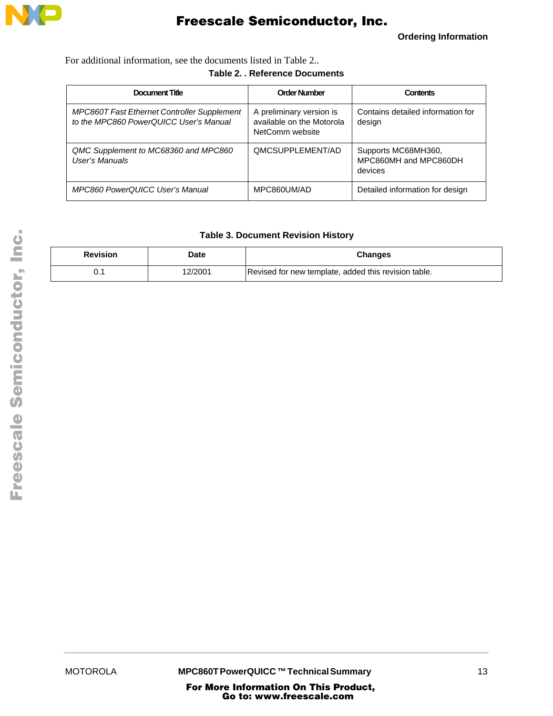

**Ordering Information**

For additional information, see the documents listed in Table 2..

#### **Table 2. . Reference Documents**

| <b>Document Title</b>                                                                        | <b>Order Number</b>                                                      | <b>Contents</b>                                         |
|----------------------------------------------------------------------------------------------|--------------------------------------------------------------------------|---------------------------------------------------------|
| <b>MPC860T Fast Ethernet Controller Supplement</b><br>to the MPC860 PowerQUICC User's Manual | A preliminary version is<br>available on the Motorola<br>NetComm website | Contains detailed information for<br>design             |
| QMC Supplement to MC68360 and MPC860<br>User's Manuals                                       | QMCSUPPLEMENT/AD                                                         | Supports MC68MH360,<br>MPC860MH and MPC860DH<br>devices |
| <b>MPC860 PowerQUICC User's Manual</b>                                                       | MPC860UM/AD                                                              | Detailed information for design                         |

#### **Table 3. Document Revision History**

| <b>Revision</b> | Date    | <b>Changes</b>                                       |
|-----------------|---------|------------------------------------------------------|
| υ.ι             | 12/2001 | Revised for new template, added this revision table. |